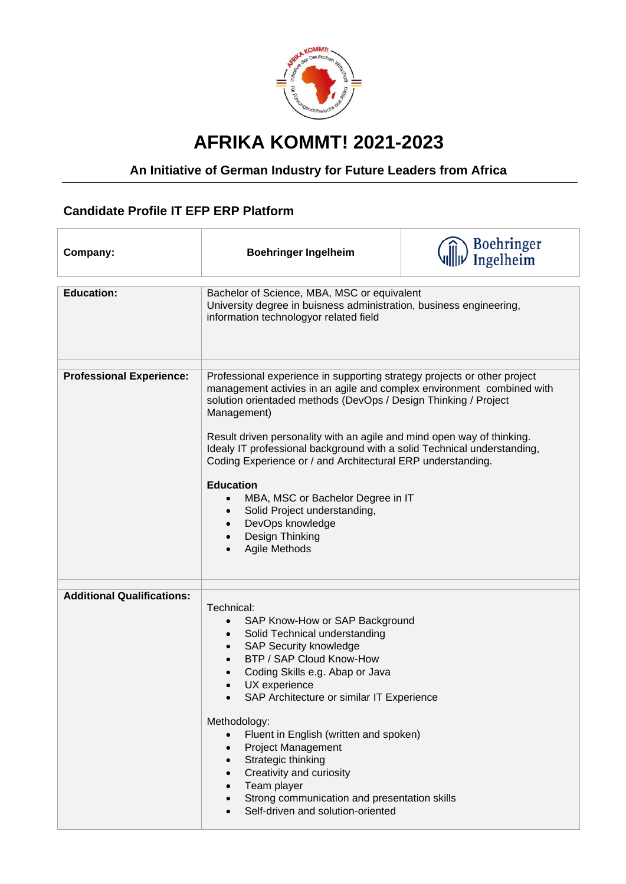

## **AFRIKA KOMMT! 2021-2023**

## **An Initiative of German Industry for Future Leaders from Africa**

## **Candidate Profile IT EFP ERP Platform**

| Company:                          | <b>Boehringer Ingelheim</b>                                                                                                                                                                                                                                                                                                                                                                                                                                                                                                                                                                                           | <b>Boehringer</b><br>Ingelheim |
|-----------------------------------|-----------------------------------------------------------------------------------------------------------------------------------------------------------------------------------------------------------------------------------------------------------------------------------------------------------------------------------------------------------------------------------------------------------------------------------------------------------------------------------------------------------------------------------------------------------------------------------------------------------------------|--------------------------------|
| <b>Education:</b>                 | Bachelor of Science, MBA, MSC or equivalent<br>University degree in buisness administration, business engineering,<br>information technologyor related field                                                                                                                                                                                                                                                                                                                                                                                                                                                          |                                |
| <b>Professional Experience:</b>   | Professional experience in supporting strategy projects or other project<br>management activies in an agile and complex environment combined with<br>solution orientaded methods (DevOps / Design Thinking / Project<br>Management)<br>Result driven personality with an agile and mind open way of thinking.<br>Idealy IT professional background with a solid Technical understanding,<br>Coding Experience or / and Architectural ERP understanding.<br><b>Education</b><br>MBA, MSC or Bachelor Degree in IT<br>$\bullet$<br>Solid Project understanding,<br>DevOps knowledge<br>Design Thinking<br>Agile Methods |                                |
| <b>Additional Qualifications:</b> | Technical:<br>SAP Know-How or SAP Background<br>$\bullet$<br>Solid Technical understanding<br><b>SAP Security knowledge</b><br>BTP / SAP Cloud Know-How<br>Coding Skills e.g. Abap or Java<br>UX experience<br>SAP Architecture or similar IT Experience<br>Methodology:<br>Fluent in English (written and spoken)<br>$\bullet$<br><b>Project Management</b><br>$\bullet$<br>Strategic thinking<br>Creativity and curiosity<br>$\bullet$<br>Team player<br>Strong communication and presentation skills<br>Self-driven and solution-oriented                                                                          |                                |